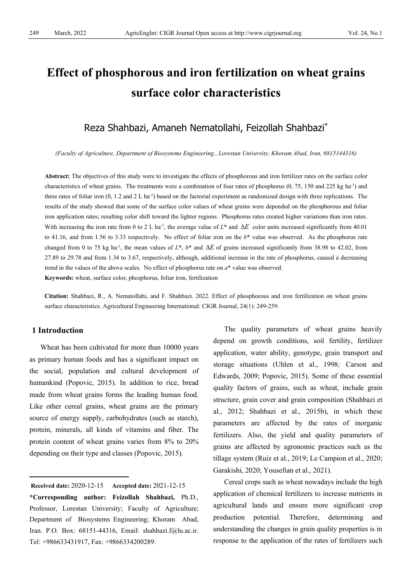# **Effect of phosphorous and iron fertilization on wheat grains surface color characteristics**

## Reza Shahbazi, Amaneh Nematollahi, Feizollah Shahbazi\*

*(Faculty of Agriculture, Department of Biosystems Engineering , Lorestan University, Khoram Abad, Iran, 6815144316)*

**Abstract:** The objectives of this study were to investigate the effects of phosphorous and iron fertilizer rates on the surface color characteristics of wheat grains. The treatments were a combination of four rates of phosphorus  $(0, 75, 150, 225, 150, 225, 150)$  and three rates of foliar iron  $(0, 1.2 \text{ and } 2 \text{ L ha}^{-1})$  based on the factorial experiment as randomized design with three replications. The results of the study showed that some of the surface color values of wheat grains were depended on the phosphorous and foliar iron application rates; resulting color shift toward the lighter regions. Phosphorus rates created higher variations than iron rates. With increasing the iron rate from 0 to 2 L ha<sup>-1</sup>, the average value of L\* and ∆*E* color units increased significantly from 40.01 to 41.16, and from 1.56 to 3.33 respectively. No effect of foliar iron on the *b*\* value was observed. As the phosphorus rate changed from 0 to 75 kg ha<sup>-1</sup>, the mean values of  $L^*$ ,  $b^*$  and  $\Delta E$  of grains increased significantly from 38.98 to 42.02, from 27.89 to 29.78 and from 1.34 to 3.67, respectively, although, additional increase in the rate of phosphorus, caused a decreasing trend in the values of the above scales. No effect of phosphorus rate on *a*\* value was observed.

**Keywords:** wheat, surface color, phosphorus, foliar iron, fertilization

**Citation:** Shahbazi, R., A. Nematollahi, and F. Shahbazi. 2022. Effect of phosphorous and iron fertilization on wheat grains surface characteristics. Agricultural Engineering International: CIGR Journal, 24(1): 249-259.

## **1 Introduction**

Wheat has been cultivated for more than 10000 years as primary human foods and has a significant impact on the social, population and cultural development of humankind (Popovic, 2015). In addition to rice, bread made from wheat grains forms the leading human food. Like other cereal grains, wheat grains are the primary source of energy supply, carbohydrates (such as starch), protein, minerals, all kinds of vitamins and fiber. The protein content of wheat grains varies from 8% to 20% depending on their type and classes (Popovic, 2015).

<span id="page-0-0"></span>**Received date:** 2020-12-15 **Accepted date:** 2021-12-15

**\*Corresponding author: Feizollah Shahbazi,** Ph.D., Professor, Lorestan University; Faculty of Agriculture; Department of Biosystems Engineering; Khoram Abad, Iran. P.O. Box: 68151-44316, Email: shahbazi.f@lu.ac.ir. Tel: +986633431917, Fax: +9866334200289.

The quality parameters of wheat grains heavily depend on growth conditions, soil fertility, fertilizer application, water ability, genotype, grain transport and storage situations (Uhlen et al., 1998*;* Carson and Edwards, 2009; Popovic, 2015). Some of these essential quality factors of grains, such as wheat, include grain structure, grain cover and grain composition (Shahbazi et al., 2012; Shahbazi et al., 2015b), in which these parameters are affected by the rates of inorganic fertilizers. Also, the yield and quality parameters of grains are affected by agronomic practices such as the tillage system (Ruiz et al., 2019; Le Campion et al., 2020; Garakishi, 2020; Yousefian et al., 2021).

Cereal crops such as wheat nowadays include the high application of chemical fertilizers to increase nutrients in agricultural lands and ensure more significant crop production potential. Therefore, determining and understanding the changes in grain quality properties is in response to the application of the rates of fertilizers such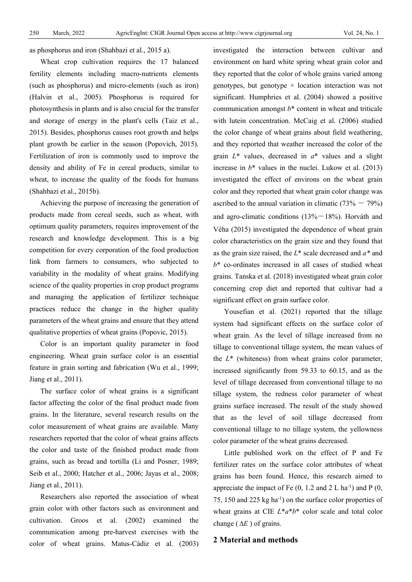as phosphorus and iron (Shahbazi et al., 2015 a).

Wheat crop cultivation requires the 17 balanced fertility elements including macro-nutrients elements (such as phosphorus) and micro-elements (such as iron) (Halvin et al., 2005). Phosphorus is required for photosynthesis in plants and is also crucial for the transfer and storage of energy in the plant's cells (Taiz et al., 2015). Besides, phosphorus causes root growth and helps plant growth be earlier in the season (Popovich, 2015). Fertilization of iron is commonly used to improve the density and ability of Fe in cereal products, similar to wheat, to increase the quality of the foods for humans (Shahbazi et al., 2015b).

Achieving the purpose of increasing the generation of products made from cereal seeds, such as wheat, with optimum quality parameters, requires improvement of the research and knowledge development. This is a big competition for every corporation of the food production link from farmers to consumers, who subjected to variability in the modality of wheat grains. Modifying science of the quality properties in crop product programs and managing the application of fertilizer technique practices reduce the change in the higher quality parameters of the wheat grains and ensure that they attend qualitative properties of wheat grains (Popovic, 2015).

Color is an important quality parameter in food engineering. Wheat grain surface color is an essential feature in grain sorting and fabrication (Wu et al., 1999; Jiang et al., 2011).

The surface color of wheat grains is a significant factor affecting the color of the final product made from grains. In the literature, several research results on the color measurement of wheat grains are available. Many researchers reported that the color of wheat grains affects the color and taste of the finished product made from grains, such as bread and tortilla (Li and Posner, 1989; Seib et al., 2000; Hatcher et al., 2006; Jayas et al., 2008; Jiang et al., 2011).

Researchers also reported the association of wheat grain color with other factors such as environment and cultivation. Groos et al. (2002) examined the communication among pre-harvest exercises with the color of wheat grains. Matus‐Cádiz et al. (2003) investigated the interaction between cultivar and environment on hard white spring wheat grain color and they reported that the color of whole grains varied among genotypes, but genotype  $\times$  location interaction was not significant. Humphries et al. (2004) showed a positive communication amongst  $b^*$  content in wheat and triticale with lutein concentration. McCaig et al. (2006) studied the color change of wheat grains about field weathering, and they reported that weather increased the color of the grain *L*\* values, decreased in *a*\* values and a slight increase in  $b^*$  values in the nuclei. Lukow et al.  $(2013)$ investigated the effect of environs on the wheat grain color and they reported that wheat grain color change was ascribed to the annual variation in climatic  $(73\% - 79\%)$ and agro-climatic conditions  $(13\% - 18\%)$ . Horváth and Véha (2015) investigated the dependence of wheat grain color characteristics on the grain size and they found that as the grain size raised, the *L*\* scale decreased and *a\** and *b*\* co-ordinates increased in all cases of studied wheat grains. Tanska et al. (2018) investigated wheat grain color concerning crop diet and reported that cultivar had a significant effect on grain surface color.

Yousefian et al. (2021) reported that the tillage system had significant effects on the surface color of wheat grain. As the level of tillage increased from no tillage to conventional tillage system, the mean values of the *L*\* (whiteness) from wheat grains color parameter, increased significantly from 59.33 to 60.15, and as the level of tillage decreased from conventional tillage to no tillage system, the redness color parameter of wheat grains surface increased. The result of the study showed that as the level of soil tillage decreased from conventional tillage to no tillage system, the yellowness color parameter of the wheat grains decreased.

Little published work on the effect of P and Fe fertilizer rates on the surface color attributes of wheat grains has been found. Hence, this research aimed to appreciate the impact of Fe  $(0, 1.2 \text{ and } 2 \text{ L} \text{ ha}^{-1})$  and P  $(0, 1.2 \text{ A})$ 75, 150 and 225 kg ha-1 ) on the surface color properties of wheat grains at CIE *L*\**a*\**b*\* color scale and total color change ( ∆*E* ) of grains.

## **2 Material and methods**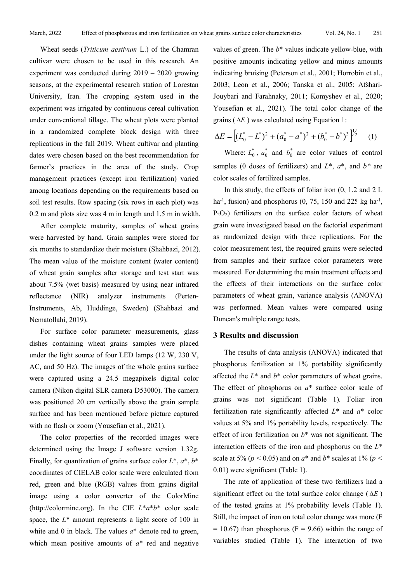Wheat seeds (*Triticum aestivum* L.) of the Chamran cultivar were chosen to be used in this research. An experiment was conducted during 2019 – 2020 growing seasons, at the experimental research station of Lorestan University, Iran. The cropping system used in the experiment was irrigated by continuous cereal cultivation under conventional tillage. The wheat plots were planted in a randomized complete block design with three replications in the fall 2019. Wheat cultivar and planting dates were chosen based on the best recommendation for farmer's practices in the area of the study. Crop management practices (except iron fertilization) varied among locations depending on the requirements based on soil test results. Row spacing (six rows in each plot) was 0.2 m and plots size was 4 m in length and 1.5 m in width.

After complete maturity, samples of wheat grains were harvested by hand. Grain samples were stored for six months to standardize their moisture (Shahbazi, 2012). The mean value of the moisture content (water content) of wheat grain samples after storage and test start was about 7.5% (wet basis) measured by using near infrared reflectance (NIR) analyzer instruments (Perten-Instruments, Ab, Huddinge, Sweden) (Shahbazi and Nematollahi, 2019).

For surface color parameter measurements, glass dishes containing wheat grains samples were placed under the light source of four LED lamps (12 W, 230 V, AC, and 50 Hz). The images of the whole grains surface were captured using a 24.5 megapixels digital color camera (Nikon digital SLR camera D53000). The camera was positioned 20 cm vertically above the grain sample surface and has been mentioned before picture captured with no flash or zoom (Yousefian et al., 2021).

The color properties of the recorded images were determined using the Image J software version 1.32g. Finally, for quantization of grains surface color *L*\*, *a*\*, *b*\* coordinates of CIELAB color scale were calculated from red, green and blue (RGB) values from grains digital image using a color converter of the ColorMine [\(http://colormine.org\)](http://colormine.org/). In the CIE *L*\**a*\**b*\* color scale space, the  $L^*$  amount represents a light score of 100 in white and 0 in black. The values *a*\* denote red to green, which mean positive amounts of *a*\* red and negative values of green. The *b*\* values indicate yellow-blue, with positive amounts indicating yellow and minus amounts indicating bruising (Peterson et al., 2001; Horrobin et al., 2003; Leon et al., 2006; Tanska et al., 2005; Afshari-Jouybari and Farahnaky, 2011; Komyshev et al., 2020; Yousefian et al., 2021). The total color change of the grains ( ∆*E* ) was calculated using Equation 1:

$$
\Delta E = \left[ (L_0^* - L^*)^2 + (a_0^* - a^*)^2 + (b_0^* - b^*)^3 \right]^{1/2} \tag{1}
$$

Where:  $L_0^*$ ,  $a_0^*$  and  $b_0^*$  are color values of control samples (0 doses of fertilizers) and *L*\*, *a*\*, and *b\** are color scales of fertilized samples.

In this study, the effects of foliar iron (0, 1.2 and 2 L ha<sup>-1</sup>, fusion) and phosphorus  $(0, 75, 150, 150, 225, 150, 150)$  $P_2O_2$ ) fertilizers on the surface color factors of wheat grain were investigated based on the factorial experiment as randomized design with three replications. For the color measurement test, the required grains were selected from samples and their surface color parameters were measured. For determining the main treatment effects and the effects of their interactions on the surface color parameters of wheat grain, variance analysis (ANOVA) was performed. Mean values were compared using Duncan's multiple range tests.

## **3 Results and discussion**

The results of data analysis (ANOVA) indicated that phosphorus fertilization at 1% portability significantly affected the *L*\* and *b*\* color parameters of wheat grains. The effect of phosphorus on *a*\* surface color scale of grains was not significant (Table 1). Foliar iron fertilization rate significantly affected *L*\* and *a*\* color values at 5% and 1% portability levels, respectively. The effect of iron fertilization on *b*\* was not significant. The interaction effects of the iron and phosphorus on the *L*\* scale at 5% ( $p < 0.05$ ) and on  $a^*$  and  $b^*$  scales at 1% ( $p <$ 0.01) were significant (Table 1).

The rate of application of these two fertilizers had a significant effect on the total surface color change ( ∆*E* ) of the tested grains at 1% probability levels (Table 1). Still, the impact of iron on total color change was more (F  $= 10.67$ ) than phosphorus (F = 9.66) within the range of variables studied (Table 1). The interaction of two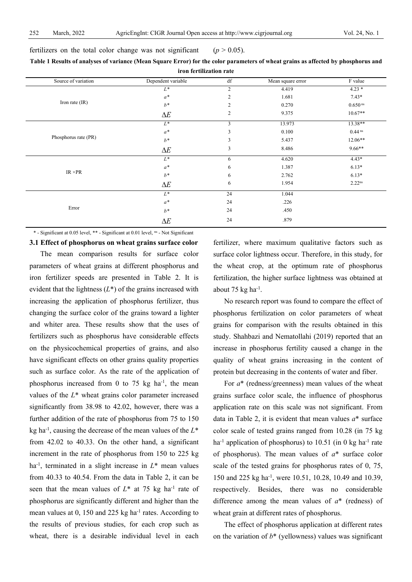| iron fertilization rate |                    |                |                   |                       |  |  |  |
|-------------------------|--------------------|----------------|-------------------|-----------------------|--|--|--|
| Source of variation     | Dependent variable | df             | Mean square error | F value               |  |  |  |
|                         | $L^*$              | $\overline{c}$ | 4.419             | $4.23*$               |  |  |  |
|                         | $a^*$              | 2              | 1.681             | $7.43*$               |  |  |  |
| Iron rate $(IR)$        | $b^*$              | $\overline{2}$ | 0.270             | $0.650$ <sup>ns</sup> |  |  |  |
|                         | $\Delta E$         | $\overline{2}$ | 9.375             | $10.67**$             |  |  |  |
|                         | $L^*$              | $\overline{3}$ | 13.973            | $13.38**$             |  |  |  |
|                         | $a^*$              | $\overline{3}$ | 0.100             | $0.44$ <sup>ns</sup>  |  |  |  |
| Phosphorus rate (PR)    | $b^*$              | 3              | 5.437             | $12.06**$             |  |  |  |
|                         | $\Delta E$         | 3              | 8.486             | $9.66***$             |  |  |  |
|                         | $L^*$              | 6              | 4.620             | $4.43*$               |  |  |  |
|                         | $a^*$              | 6              | 1.387             | $6.13*$               |  |  |  |
| $IR \times PR$          | $h^*$              | 6              | 2.762             | $6.13*$               |  |  |  |
|                         | $\Delta E$         | 6              | 1.954             | $2.22^{ns}$           |  |  |  |
|                         | $L^*$              | 24             | 1.044             |                       |  |  |  |
|                         | $a^*$              | 24             | .226              |                       |  |  |  |
| Error                   | $b^*$              | 24             | .450              |                       |  |  |  |
|                         | $\Delta E$         | 24             | .879              |                       |  |  |  |

**Table 1 Results of analyses of variance (Mean Square Error) for the color parameters of wheat grains as affected by phosphorus and** 

\* - Significant at 0.05 level, \*\* - Significant at 0.01 level, ns - Not Significant

fertilizers on the total color change was not significant  $(p > 0.05)$ .

**3.1 Effect of phosphorus on wheat grains surface color** The mean comparison results for surface color parameters of wheat grains at different phosphorus and iron fertilizer speeds are presented in Table 2. It is evident that the lightness (*L*\*) of the grains increased with increasing the application of phosphorus fertilizer, thus changing the surface color of the grains toward a lighter and whiter area. These results show that the uses of fertilizers such as phosphorus have considerable effects on the physicochemical properties of grains, and also have significant effects on other grains quality properties such as surface color. As the rate of the application of phosphorus increased from 0 to 75  $kg$  ha<sup>-1</sup>, the mean values of the *L*\* wheat grains color parameter increased significantly from 38.98 to 42.02, however, there was a further addition of the rate of phosphorus from 75 to 150 kg ha-1 , causing the decrease of the mean values of the *L*\* from 42.02 to 40.33. On the other hand, a significant increment in the rate of phosphorus from 150 to 225 kg ha-1 , terminated in a slight increase in *L*\* mean values from 40.33 to 40.54. From the data in Table 2, it can be seen that the mean values of  $L^*$  at 75 kg ha<sup>-1</sup> rate of phosphorus are significantly different and higher than the mean values at 0, 150 and 225 kg ha<sup>-1</sup> rates. According to the results of previous studies, for each crop such as wheat, there is a desirable individual level in each

fertilizer, where maximum qualitative factors such as surface color lightness occur. Therefore, in this study, for the wheat crop, at the optimum rate of phosphorus fertilization, the higher surface lightness was obtained at about 75  $kg$  ha<sup>-1</sup>.

No research report was found to compare the effect of phosphorus fertilization on color parameters of wheat grains for comparison with the results obtained in this study. Shahbazi and Nematollahi (2019) reported that an increase in phosphorus fertility caused a change in the quality of wheat grains increasing in the content of protein but decreasing in the contents of water and fiber.

For *a*\* (redness/greenness) mean values of the wheat grains surface color scale, the influence of phosphorus application rate on this scale was not significant. From data in Table 2, it is evident that mean values *a*\* surface color scale of tested grains ranged from 10.28 (in 75 kg ha<sup>-1</sup> application of phosphorus) to 10.51 (in 0 kg ha<sup>-1</sup> rate of phosphorus). The mean values of *a*\* surface color scale of the tested grains for phosphorus rates of 0, 75, 150 and 225 kg ha-1 , were 10.51, 10.28, 10.49 and 10.39, respectively. Besides, there was no considerable difference among the mean values of *a*\* (redness) of wheat grain at different rates of phosphorus.

The effect of phosphorus application at different rates on the variation of *b*\* (yellowness) values was significant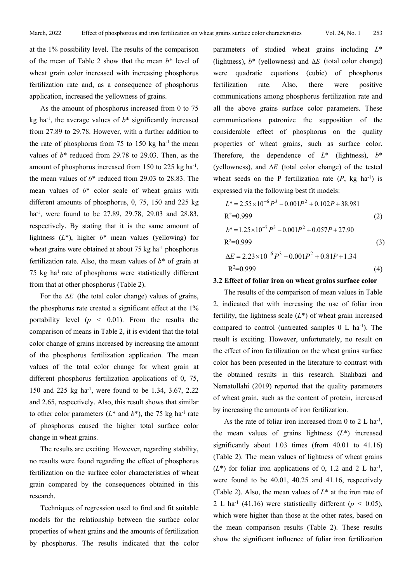at the 1% possibility level. The results of the comparison of the mean of Table 2 show that the mean *b*\* level of wheat grain color increased with increasing phosphorus fertilization rate and, as a consequence of phosphorus application, increased the yellowness of grains.

As the amount of phosphorus increased from 0 to 75 kg ha<sup>-1</sup>, the average values of  $b^*$  significantly increased from 27.89 to 29.78. However, with a further addition to the rate of phosphorus from 75 to 150 kg ha<sup>-1</sup> the mean values of  $b^*$  reduced from 29.78 to 29.03. Then, as the amount of phosphorus increased from 150 to 225 kg ha<sup>-1</sup>, the mean values of *b*\* reduced from 29.03 to 28.83. The mean values of *b*\* color scale of wheat grains with different amounts of phosphorus, 0, 75, 150 and 225 kg ha-1 , were found to be 27.89, 29.78, 29.03 and 28.83, respectively. By stating that it is the same amount of lightness (*L*\*), higher *b*\* mean values (yellowing) for wheat grains were obtained at about  $75 \text{ kg}$  ha<sup>-1</sup> phosphorus fertilization rate. Also, the mean values of *b*\* of grain at 75 kg ha<sup>1</sup> rate of phosphorus were statistically different from that at other phosphorus (Table 2).

For the ∆*E* (the total color change) values of grains, the phosphorus rate created a significant effect at the 1% portability level (*p <* 0.01). From the results the comparison of means in Table 2, it is evident that the total color change of grains increased by increasing the amount of the phosphorus fertilization application. The mean values of the total color change for wheat grain at different phosphorus fertilization applications of 0, 75, 150 and 225 kg ha-1 , were found to be 1.34, 3.67, 2.22 and 2.65, respectively. Also, this result shows that similar to other color parameters  $(L^*$  and  $b^*)$ , the 75 kg ha<sup>-1</sup> rate of phosphorus caused the higher total surface color change in wheat grains.

The results are exciting. However, regarding stability, no results were found regarding the effect of phosphorus fertilization on the surface color characteristics of wheat grain compared by the consequences obtained in this research.

Techniques of regression used to find and fit suitable models for the relationship between the surface color properties of wheat grains and the amounts of fertilization by phosphorus. The results indicated that the color parameters of studied wheat grains including *L*\* (lightness), *b*\* (yellowness) and ∆*E* (total color change) were quadratic equations (cubic) of phosphorus fertilization rate. Also, there were positive communications among phosphorus fertilization rate and all the above grains surface color parameters. These communications patronize the supposition of the considerable effect of phosphorus on the quality properties of wheat grains, such as surface color. Therefore, the dependence of  $L^*$  (lightness),  $b^*$ (yellowness), and ∆*E* (total color change) of the tested wheat seeds on the P fertilization rate  $(P, kg \text{ ha}^{-1})$  is expressed via the following best fit models:

$$
L^* = 2.55 \times 10^{-6} P^3 - 0.001P^2 + 0.102P + 38.981
$$
  
\nR<sup>2</sup>=0.999 (2)  
\n
$$
b^* = 1.25 \times 10^{-7} P^3 - 0.001P^2 + 0.057P + 27.90
$$
  
\nR<sup>2</sup>=0.999 (3)  
\n
$$
\Delta E = 2.23 \times 10^{-6} P^3 - 0.001P^2 + 0.81P + 1.34
$$
  
\nR<sup>2</sup>=0.999 (4)

#### **3.2 Effect of foliar iron on wheat grains surface color**

The results of the comparison of mean values in Table 2, indicated that with increasing the use of foliar iron fertility, the lightness scale (*L*\*) of wheat grain increased compared to control (untreated samples 0 L ha<sup>-1</sup>). The result is exciting. However, unfortunately, no result on the effect of iron fertilization on the wheat grains surface color has been presented in the literature to contrast with the obtained results in this research. Shahbazi and Nematollahi (2019) reported that the quality parameters of wheat grain, such as the content of protein, increased by increasing the amounts of iron fertilization.

As the rate of foliar iron increased from 0 to 2 L ha<sup>-1</sup>, the mean values of grains lightness (*L*\*) increased significantly about 1.03 times (from 40.01 to 41.16) (Table 2). The mean values of lightness of wheat grains  $(L^*)$  for foliar iron applications of 0, 1.2 and 2 L ha<sup>-1</sup>, were found to be 40.01, 40.25 and 41.16, respectively (Table 2). Also, the mean values of *L*\* at the iron rate of 2 L ha<sup>-1</sup> (41.16) were statistically different ( $p < 0.05$ ), which were higher than those at the other rates, based on the mean comparison results (Table 2). These results show the significant influence of foliar iron fertilization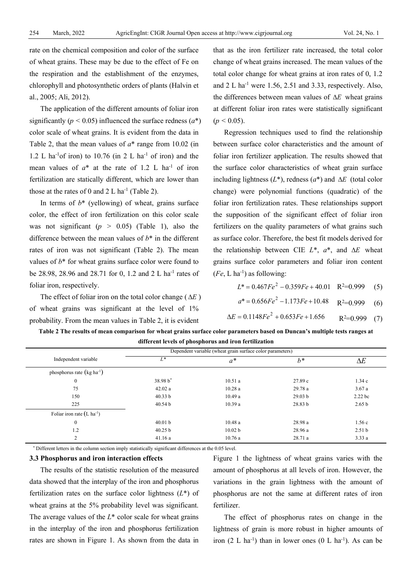rate on the chemical composition and color of the surface of wheat grains. These may be due to the effect of Fe on the respiration and the establishment of the enzymes, chlorophyll and photosynthetic orders of plants (Halvin et al., 2005; Ali, 2012).

The application of the different amounts of foliar iron significantly ( $p < 0.05$ ) influenced the surface redness ( $a^*$ ) color scale of wheat grains. It is evident from the data in Table 2, that the mean values of *a*\* range from 10.02 (in 1.2 L ha<sup>-1</sup> of iron) to 10.76 (in 2 L ha<sup>-1</sup> of iron) and the mean values of  $a^*$  at the rate of 1.2 L ha<sup>-1</sup> of iron fertilization are statically different, which are lower than those at the rates of 0 and  $2 L$  ha<sup>-1</sup> (Table 2).

In terms of *b*\* (yellowing) of wheat, grains surface color, the effect of iron fertilization on this color scale was not significant  $(p > 0.05)$  (Table 1), also the difference between the mean values of *b*\* in the different rates of iron was not significant (Table 2). The mean values of  $b^*$  for wheat grains surface color were found to be 28.98, 28.96 and 28.71 for 0, 1.2 and 2 L ha<sup>-1</sup> rates of foliar iron, respectively.

The effect of foliar iron on the total color change ( ∆*E* ) of wheat grains was significant at the level of 1% probability. From the mean values in Table 2, it is evident

that as the iron fertilizer rate increased, the total color change of wheat grains increased. The mean values of the total color change for wheat grains at iron rates of 0, 1.2 and  $2 L$  ha<sup>-1</sup> were 1.56, 2.51 and 3.33, respectively. Also, the differences between mean values of ∆*E* wheat grains at different foliar iron rates were statistically significant  $(p < 0.05)$ .

Regression techniques used to find the relationship between surface color characteristics and the amount of foliar iron fertilizer application. The results showed that the surface color characteristics of wheat grain surface including lightness (*L*\*), redness (*a*\*) and ∆*E* (total color change) were polynomial functions (quadratic) of the foliar iron fertilization rates. These relationships support the supposition of the significant effect of foliar iron fertilizers on the quality parameters of what grains such as surface color. Therefore, the best fit models derived for the relationship between CIE *L*\*, *a*\*, and ∆*E* wheat grains surface color parameters and foliar iron content  $(Fe, L \text{ ha}^{-1})$  as following:

$$
L^* = 0.467Fe^2 - 0.359Fe + 40.01 \quad \text{R}^2 = 0.999 \quad (5)
$$

$$
a^* = 0.656Fe^2 - 1.173Fe + 10.48 \quad R^2 = 0.999 \quad (6)
$$

$$
\Delta E = 0.1148Fe^2 + 0.653Fe + 1.656 \qquad \text{R}^2 = 0.999 \quad (7)
$$

| Table 2 The results of mean comparison for wheat grains surface color parameters based on Duncan's multiple tests ranges at |  |  |  |  |
|-----------------------------------------------------------------------------------------------------------------------------|--|--|--|--|
| different levels of phosphorus and iron fertilization                                                                       |  |  |  |  |

|                                        |                    | Dependent variable (wheat grain surface color parameters) |                    |                   |
|----------------------------------------|--------------------|-----------------------------------------------------------|--------------------|-------------------|
| Independent variable                   | $L^*$              | $a^*$                                                     | $h^*$              | $\Delta E$        |
| phosphorus rate $(kg ha^{-1})$         |                    |                                                           |                    |                   |
| $\boldsymbol{0}$                       | 38.98 b*           | 10.51a                                                    | 27.89 c            | 1.34c             |
| 75                                     | 42.02a             | 10.28a                                                    | 29.78 a            | 3.67a             |
| 150                                    | 40.33 b            | 10.49a                                                    | 29.03 <sub>b</sub> | 2.22 bc           |
| 225                                    | 40.54 <sub>b</sub> | 10.39a                                                    | 28.83 <sub>b</sub> | 2.65 <sub>b</sub> |
| Foliar iron rate $(L \text{ ha}^{-1})$ |                    |                                                           |                    |                   |
| $\boldsymbol{0}$                       | 40.01 <sub>b</sub> | 10.48a                                                    | 28.98 a            | 1.56c             |
| 1.2                                    | 40.25 b            | 10.02 <sub>b</sub>                                        | 28.96 a            | 2.51 <sub>b</sub> |
| $\overline{c}$                         | 41.16a             | 10.76a                                                    | 28.71 a            | 3.33a             |

\* Different letters in the column section imply statistically significant differences at the 0.05 level.

## **3.3 Phosphorus and iron interaction effects**

The results of the statistic resolution of the measured data showed that the interplay of the iron and phosphorus fertilization rates on the surface color lightness (*L*\*) of wheat grains at the 5% probability level was significant. The average values of the *L*\* color scale for wheat grains in the interplay of the iron and phosphorus fertilization rates are shown in Figure 1. As shown from the data in Figure 1 the lightness of wheat grains varies with the amount of phosphorus at all levels of iron. However, the variations in the grain lightness with the amount of phosphorus are not the same at different rates of iron fertilizer.

The effect of phosphorus rates on change in the lightness of grain is more robust in higher amounts of iron  $(2 L ha^{-1})$  than in lower ones  $(0 L ha^{-1})$ . As can be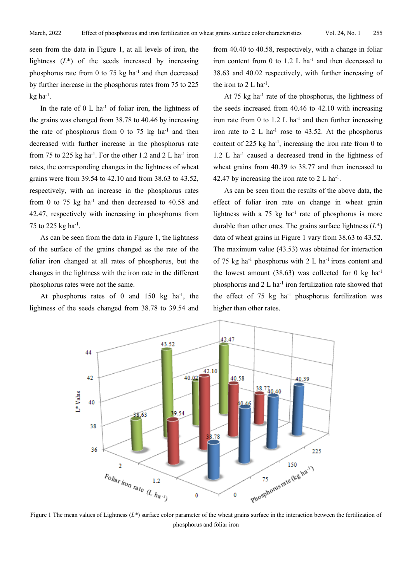seen from the data in Figure 1, at all levels of iron, the lightness  $(L^*)$  of the seeds increased by increasing phosphorus rate from 0 to 75 kg  $ha^{-1}$  and then decreased by further increase in the phosphorus rates from 75 to 225  $kg$  ha $^{-1}$ .

In the rate of  $0 \text{ L}$  ha<sup>-1</sup> of foliar iron, the lightness of the grains was changed from 38.78 to 40.46 by increasing the rate of phosphorus from  $0$  to 75 kg ha<sup>-1</sup> and then decreased with further increase in the phosphorus rate from 75 to 225  $kg$  ha<sup>-1</sup>. For the other 1.2 and 2 L ha<sup>-1</sup> iron rates, the corresponding changes in the lightness of wheat grains were from 39.54 to 42.10 and from 38.63 to 43.52, respectively, with an increase in the phosphorus rates from 0 to 75 kg  $ha^{-1}$  and then decreased to 40.58 and 42.47, respectively with increasing in phosphorus from 75 to 225 kg ha-1 .

As can be seen from the data in Figure 1, the lightness of the surface of the grains changed as the rate of the foliar iron changed at all rates of phosphorus, but the changes in the lightness with the iron rate in the different phosphorus rates were not the same.

At phosphorus rates of  $0$  and  $150$  kg ha<sup>-1</sup>, the lightness of the seeds changed from 38.78 to 39.54 and

from 40.40 to 40.58, respectively, with a change in foliar iron content from  $0$  to  $1.2$  L ha<sup>-1</sup> and then decreased to 38.63 and 40.02 respectively, with further increasing of the iron to  $2 L$  ha<sup>-1</sup>.

At 75 kg ha<sup>-1</sup> rate of the phosphorus, the lightness of the seeds increased from 40.46 to 42.10 with increasing iron rate from 0 to 1.2 L ha<sup>-1</sup> and then further increasing iron rate to  $2 L$  ha<sup>-1</sup> rose to 43.52. At the phosphorus content of 225  $kg$  ha<sup>-1</sup>, increasing the iron rate from 0 to 1.2 L ha<sup>-1</sup> caused a decreased trend in the lightness of wheat grains from 40.39 to 38.77 and then increased to 42.47 by increasing the iron rate to  $2 L$  ha<sup>-1</sup>.

As can be seen from the results of the above data, the effect of foliar iron rate on change in wheat grain lightness with a  $75 \text{ kg}$  ha<sup>-1</sup> rate of phosphorus is more durable than other ones. The grains surface lightness (*L*\*) data of wheat grains in Figure 1 vary from 38.63 to 43.52. The maximum value (43.53) was obtained for interaction of 75 kg ha<sup>-1</sup> phosphorus with 2 L ha<sup>-1</sup> irons content and the lowest amount  $(38.63)$  was collected for 0 kg ha<sup>-1</sup> phosphorus and  $2 L$  ha<sup>-1</sup> iron fertilization rate showed that the effect of  $75 \text{ kg}$  ha<sup>-1</sup> phosphorus fertilization was higher than other rates.



Figure 1 The mean values of Lightness (*L\**) surface color parameter of the wheat grains surface in the interaction between the fertilization of phosphorus and foliar iron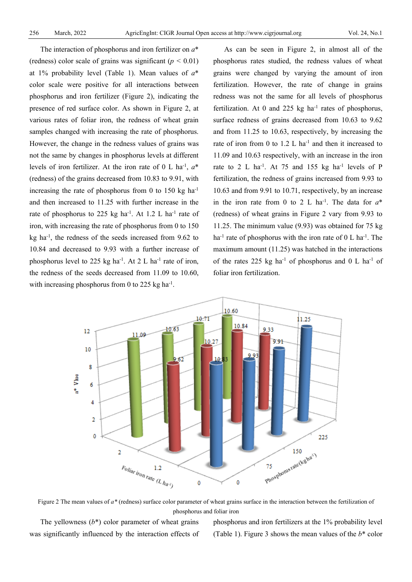The interaction of phosphorus and iron fertilizer on *a*\* (redness) color scale of grains was significant (*p <* 0.01) at 1% probability level (Table 1). Mean values of *a*\* color scale were positive for all interactions between phosphorus and iron fertilizer (Figure 2), indicating the presence of red surface color. As shown in Figure 2, at various rates of foliar iron, the redness of wheat grain samples changed with increasing the rate of phosphorus. However, the change in the redness values of grains was not the same by changes in phosphorus levels at different levels of iron fertilizer. At the iron rate of 0 L ha-1 , *a*\* (redness) of the grains decreased from 10.83 to 9.91, with increasing the rate of phosphorus from 0 to 150 kg  $ha^{-1}$ and then increased to 11.25 with further increase in the rate of phosphorus to 225 kg ha<sup>-1</sup>. At 1.2 L ha<sup>-1</sup> rate of iron, with increasing the rate of phosphorus from 0 to 150 kg ha-1 , the redness of the seeds increased from 9.62 to 10.84 and decreased to 9.93 with a further increase of phosphorus level to 225 kg ha<sup>-1</sup>. At 2 L ha<sup>-1</sup> rate of iron, the redness of the seeds decreased from 11.09 to 10.60, with increasing phosphorus from 0 to 225 kg ha<sup>-1</sup>.

As can be seen in Figure 2, in almost all of the phosphorus rates studied, the redness values of wheat grains were changed by varying the amount of iron fertilization. However, the rate of change in grains redness was not the same for all levels of phosphorus fertilization. At 0 and 225 kg ha $^{-1}$  rates of phosphorus, surface redness of grains decreased from 10.63 to 9.62 and from 11.25 to 10.63, respectively, by increasing the rate of iron from 0 to 1.2 L ha<sup>-1</sup> and then it increased to 11.09 and 10.63 respectively, with an increase in the iron rate to 2 L ha<sup>-1</sup>. At 75 and 155 kg ha<sup>-1</sup> levels of P fertilization, the redness of grains increased from 9.93 to 10.63 and from 9.91 to 10.71, respectively, by an increase in the iron rate from 0 to 2 L ha<sup>-1</sup>. The data for  $a^*$ (redness) of wheat grains in Figure 2 vary from 9.93 to 11.25. The minimum value (9.93) was obtained for 75 kg ha<sup>-1</sup> rate of phosphorus with the iron rate of  $0 L$  ha<sup>-1</sup>. The maximum amount (11.25) was hatched in the interactions of the rates 225 kg ha<sup>-1</sup> of phosphorus and  $0 \text{ L}$  ha<sup>-1</sup> of foliar iron fertilization.



Figure 2 The mean values of  $a^*$  (redness) surface color parameter of wheat grains surface in the interaction between the fertilization of phosphorus and foliar iron

The yellowness  $(b^*)$  color parameter of wheat grains was significantly influenced by the interaction effects of phosphorus and iron fertilizers at the 1% probability level (Table 1). Figure 3 shows the mean values of the *b*\* color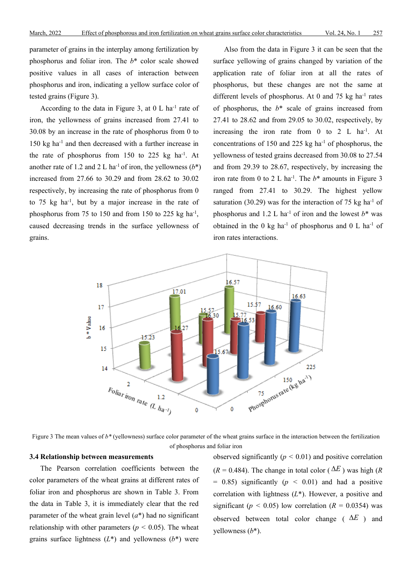parameter of grains in the interplay among fertilization by phosphorus and foliar iron. The *b*\* color scale showed positive values in all cases of interaction between phosphorus and iron, indicating a yellow surface color of tested grains (Figure 3).

According to the data in Figure 3, at  $0 \text{ L}$  ha<sup>-1</sup> rate of iron, the yellowness of grains increased from 27.41 to 30.08 by an increase in the rate of phosphorus from 0 to 150 kg ha-1 and then decreased with a further increase in the rate of phosphorus from  $150$  to  $225$  kg ha<sup>-1</sup>. At another rate of 1.2 and 2 L ha<sup>-1</sup> of iron, the yellowness  $(b^*)$ increased from 27.66 to 30.29 and from 28.62 to 30.02 respectively, by increasing the rate of phosphorus from 0 to 75 kg ha-1 , but by a major increase in the rate of phosphorus from 75 to 150 and from 150 to 225 kg ha<sup>-1</sup>, caused decreasing trends in the surface yellowness of grains.

Also from the data in Figure 3 it can be seen that the surface yellowing of grains changed by variation of the application rate of foliar iron at all the rates of phosphorus, but these changes are not the same at different levels of phosphorus. At 0 and 75 kg ha<sup>-1</sup> rates of phosphorus, the *b*\* scale of grains increased from 27.41 to 28.62 and from 29.05 to 30.02, respectively, by increasing the iron rate from  $0$  to  $2$  L ha<sup>-1</sup>. At concentrations of 150 and 225 kg ha<sup>-1</sup> of phosphorus, the yellowness of tested grains decreased from 30.08 to 27.54 and from 29.39 to 28.67, respectively, by increasing the iron rate from 0 to 2 L ha<sup>-1</sup>. The  $b^*$  amounts in Figure 3 ranged from 27.41 to 30.29. The highest yellow saturation (30.29) was for the interaction of 75 kg ha<sup>-1</sup> of phosphorus and 1.2 L ha<sup>-1</sup> of iron and the lowest  $b^*$  was obtained in the 0 kg ha<sup>-1</sup> of phosphorus and 0 L ha<sup>-1</sup> of iron rates interactions.



Figure 3 The mean values of  $b^*$  (yellowness) surface color parameter of the wheat grains surface in the interaction between the fertilization of phosphorus and foliar iron

## **3.4 Relationship between measurements**

The Pearson correlation coefficients between the color parameters of the wheat grains at different rates of foliar iron and phosphorus are shown in Table 3. From the data in Table 3, it is immediately clear that the red parameter of the wheat grain level  $(a^*)$  had no significant relationship with other parameters ( $p < 0.05$ ). The wheat grains surface lightness  $(L^*)$  and yellowness  $(b^*)$  were

observed significantly  $(p < 0.01)$  and positive correlation  $(R = 0.484)$ . The change in total color ( $\Delta E$ ) was high (*R*)  $= 0.85$ ) significantly ( $p < 0.01$ ) and had a positive correlation with lightness (*L*\*). However, a positive and significant ( $p < 0.05$ ) low correlation ( $R = 0.0354$ ) was observed between total color change ( ∆*E* ) and yellowness (*b*\*).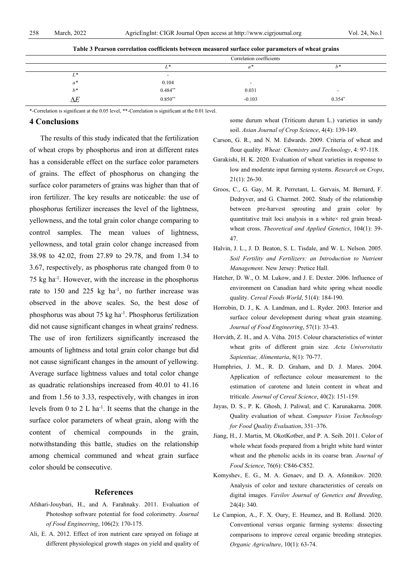|              | Correlation coefficients      |                          |                          |  |
|--------------|-------------------------------|--------------------------|--------------------------|--|
|              |                               | a <sup>*</sup>           | $b^*$                    |  |
| $L^*$        | $\overline{\phantom{0}}$      |                          |                          |  |
| $a^*$        | $0.104$<br>$0.484^{\ast\ast}$ | $\overline{\phantom{0}}$ |                          |  |
| $h^*$        |                               | 0.031                    | $\overline{\phantom{0}}$ |  |
| $\mathbf{r}$ | $0.850**$                     | $-0.103$                 | $0.354*$                 |  |

**Table 3 Pearson correlation coefficients between measured surface color parameters of wheat grains**

\*-Correlation is significant at the 0.05 level, \*\*-Correlation is significant at the 0.01 level.

### **4 Conclusions**

The results of this study indicated that the fertilization of wheat crops by phosphorus and iron at different rates has a considerable effect on the surface color parameters of grains. The effect of phosphorus on changing the surface color parameters of grains was higher than that of iron fertilizer. The key results are noticeable: the use of phosphorus fertilizer increases the level of the lightness, yellowness, and the total grain color change comparing to control samples. The mean values of lightness, yellowness, and total grain color change increased from 38.98 to 42.02, from 27.89 to 29.78, and from 1.34 to 3.67, respectively, as phosphorus rate changed from 0 to 75 kg ha-1 . However, with the increase in the phosphorus rate to  $150$  and  $225$  kg ha<sup>-1</sup>, no further increase was observed in the above scales. So, the best dose of phosphorus was about 75 kg ha<sup>-1</sup>. Phosphorus fertilization did not cause significant changes in wheat grains' redness. The use of iron fertilizers significantly increased the amounts of lightness and total grain color change but did not cause significant changes in the amount of yellowing. Average surface lightness values and total color change as quadratic relationships increased from 40.01 to 41.16 and from 1.56 to 3.33, respectively, with changes in iron levels from  $0$  to  $2$  L ha<sup>-1</sup>. It seems that the change in the surface color parameters of wheat grain, along with the content of chemical compounds in the grain, notwithstanding this battle, studies on the relationship among chemical communed and wheat grain surface color should be consecutive.

#### **References**

- Afshari-Jouybari, H., and A. Farahnaky. 2011. Evaluation of Photoshop software potential for food colorimetry. *Journal of Food Engineering*, 106(2): 170-175.
- Ali, E. A. 2012. Effect of iron nutrient care sprayed on foliage at different physiological growth stages on yield and quality of

some durum wheat (Triticum durum L.) varieties in sandy soil. *Asian Journal of Crop Science*, 4(4): 139-149.

- Carson, G. R., and N. M. Edwards. 2009. Criteria of wheat and flour quality. *Wheat: Chemistry and Technology*, 4: 97-118.
- Garakishi, H. K. 2020. Evaluation of wheat varieties in response to low and moderate input farming systems. *Research on Crops*, 21(1): 26-30.
- Groos, C., G. Gay, M. R. Perretant, L. Gervais, M. Bernard, F. Dedryver, and G. Charmet. 2002. Study of the relationship between pre-harvest sprouting and grain color by quantitative trait loci analysis in a white× red grain breadwheat cross. *Theoretical and Applied Genetics*, 104(1): 39- 47.
- Halvin, J. L., J. D. Beaton, S. L. Tisdale, and W. L. Nelson. 2005. *Soil Fertility and Fertilizers: an Introduction to Nutrient Management*. New Jersey: Pretice Hall.
- Hatcher, D. W., O. M. Lukow, and J. E. Dexter. 2006. Influence of environment on Canadian hard white spring wheat noodle quality. *Cereal Foods World*, 51(4): 184-190.
- Horrobin, D. J., K. A. Landman, and L. Ryder. 2003. Interior and surface colour development during wheat grain steaming. *Journal of Food Engineering*, 57(1): 33-43.
- Horváth, Z. H., and A. Véha. 2015. Colour characteristics of winter wheat grits of different grain size. *Acta Universitatis Sapientiae, Alimentaria*, 8(1): 70-77.
- Humphries, J. M., R. D. Graham, and D. J. Mares. 2004. Application of reflectance colour measurement to the estimation of carotene and lutein content in wheat and triticale. *Journal of Cereal Science*, 40(2): 151-159.
- Jayas, D. S., P. K. Ghosh, J. Paliwal, and C. Karunakarna. 2008. Quality evaluation of wheat. *Computer Vision Technology for Food Quality Evaluation*, 351–376.
- Jiang, H., J. Martin, M. OkotKotber, and P. A. Seib. 2011. Color of whole wheat foods prepared from a bright white hard winter wheat and the phenolic acids in its coarse bran. *Journal of Food Science*, 76(6): C846-C852.
- Komyshev, E. G., M. A. Genaev, and D. A. Afonnikov. 2020. Analysis of color and texture characteristics of cereals on digital images. *Vavilov Journal of Genetics and Breeding*, 24(4): 340.
- Le Campion, A., F. X. Oury, E. Heumez, and B. Rolland. 2020. Conventional versus organic farming systems: dissecting comparisons to improve cereal organic breeding strategies. *Organic Agriculture*, 10(1): 63-74.